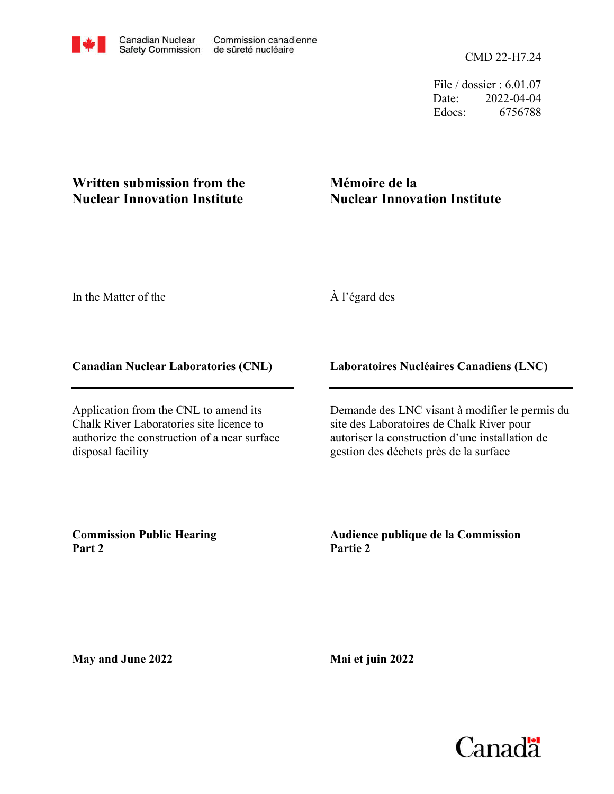File / dossier : 6.01.07 Date: 2022-04-04 Edocs: 6756788

# **Written submission from the Nuclear Innovation Institute**

# **Mémoire de la Nuclear Innovation Institute**

In the Matter of the

# À l'égard des

### **Canadian Nuclear Laboratories (CNL)**

Application from the CNL to amend its Chalk River Laboratories site licence to authorize the construction of a near surface disposal facility

### **Laboratoires Nucléaires Canadiens (LNC)**

Demande des LNC visant à modifier le permis du site des Laboratoires de Chalk River pour autoriser la construction d'une installation de gestion des déchets près de la surface

**Commission Public Hearing Part 2**

**Audience publique de la Commission Partie 2**

**May and June 2022**

**Mai et juin 2022**